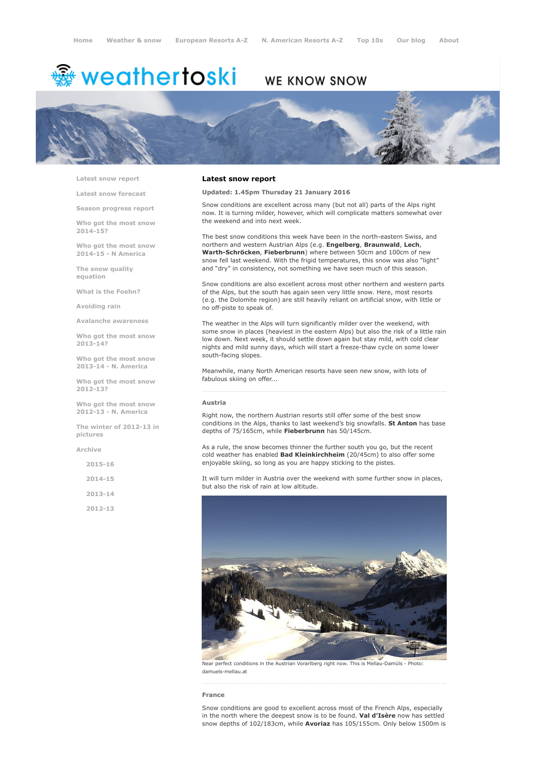# <sup>鑫</sup> weathertoski

# WE KNOW SNOW



Latest snow [report](http://www.weathertoski.co.uk/weather-snow/latest-snow-report/)

Latest snow [forecast](http://www.weathertoski.co.uk/weather-snow/latest-snow-forecast/)

Season [progress](http://www.weathertoski.co.uk/weather-snow/season-progress-report/) report

Who got the most snow 2014-15?

Who got the most snow 2014-15 - N America

The snow quality [equation](http://www.weathertoski.co.uk/weather-snow/the-snow-quality-equation/)

What is the [Foehn?](http://www.weathertoski.co.uk/weather-snow/what-is-the-foehn/)

[Avoiding](http://www.weathertoski.co.uk/weather-snow/avoiding-rain/) rain

Avalanche [awareness](http://www.weathertoski.co.uk/weather-snow/avalanche-awareness/)

Who got the most snow 2013-14?

Who got the most snow 2013-14 - N. America

Who got the most snow 2012-13?

Who got the most snow 2012-13 - N. America

The winter of 2012-13 in pictures

[Archive](http://www.weathertoski.co.uk/weather-snow/archive/)

2015-16

2014-15

2013-14

2012-13

#### Latest snow report

Updated: 1.45pm Thursday 21 January 2016

Snow conditions are excellent across many (but not all) parts of the Alps right now. It is turning milder, however, which will complicate matters somewhat over the weekend and into next week.

The best snow conditions this week have been in the north-eastern Swiss, and northern and western Austrian Alps (e.g. Engelberg, Braunwald, Lech, Warth-Schröcken, Fieberbrunn) where between 50cm and 100cm of new snow fell last weekend. With the frigid temperatures, this snow was also "light" and "dry" in consistency, not something we have seen much of this season.

Snow conditions are also excellent across most other northern and western parts of the Alps, but the south has again seen very little snow. Here, most resorts (e.g. the Dolomite region) are still heavily reliant on artificial snow, with little or no off-piste to speak of.

The weather in the Alps will turn significantly milder over the weekend, with some snow in places (heaviest in the eastern Alps) but also the risk of a little rain low down. Next week, it should settle down again but stay mild, with cold clear nights and mild sunny days, which will start a freeze-thaw cycle on some lower south-facing slopes.

Meanwhile, many North American resorts have seen new snow, with lots of fabulous skiing on offer...

#### Austria

Right now, the northern Austrian resorts still offer some of the best snow conditions in the Alps, thanks to last weekend's big snowfalls. St Anton has base depths of 75/165cm, while Fieberbrunn has 50/145cm.

As a rule, the snow becomes thinner the further south you go, but the recent cold weather has enabled Bad Kleinkirchheim (20/45cm) to also offer some enjoyable skiing, so long as you are happy sticking to the pistes.

It will turn milder in Austria over the weekend with some further snow in places, but also the risk of rain at low altitude.



Near perfect conditions in the Austrian Vorarlberg right now. This is Mellau-Damüls - Photo: damuels-mellau.at

#### France

Snow conditions are good to excellent across most of the French Alps, especially in the north where the deepest snow is to be found. Val d'Isère now has settled snow depths of 102/183cm, while Avoriaz has 105/155cm. Only below 1500m is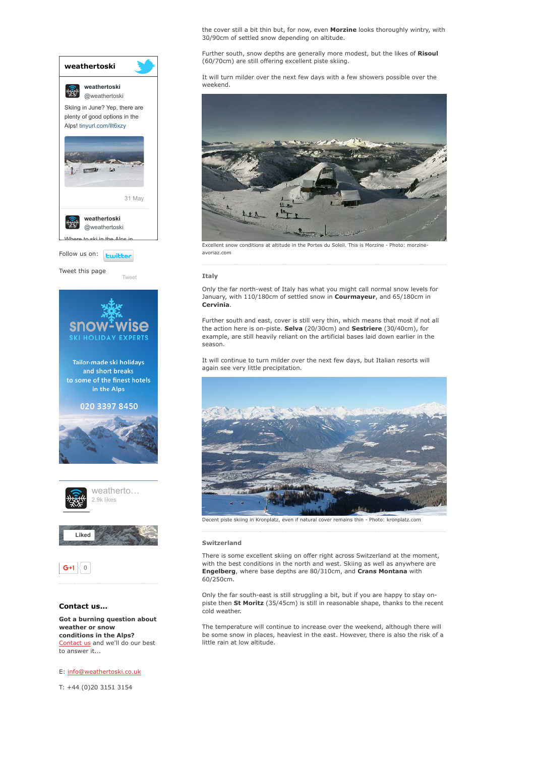

[Contact](http://www.weathertoski.co.uk/about-1/contact-us/) us and we'll do our best to answer it...

E: [info@weathertoski.co.uk](mailto:fraser@weathertoski.co.uk)

T: +44 (0)20 3151 3154

the cover still a bit thin but, for now, even Morzine looks thoroughly wintry, with 30/90cm of settled snow depending on altitude.

Further south, snow depths are generally more modest, but the likes of Risoul (60/70cm) are still offering excellent piste skiing.

It will turn milder over the next few days with a few showers possible over the weekend.



Excellent snow conditions at altitude in the Portes du Soleil. This is Morzine - Photo: morzine avoriaz.com

#### Italy

Only the far north-west of Italy has what you might call normal snow levels for January, with 110/180cm of settled snow in Courmayeur, and 65/180cm in Cervinia.

Further south and east, cover is still very thin, which means that most if not all the action here is on-piste. Selva (20/30cm) and Sestriere (30/40cm), for example, are still heavily reliant on the artificial bases laid down earlier in the season.

It will continue to turn milder over the next few days, but Italian resorts will again see very little precipitation.



Decent piste skiing in Kronplatz, even if natural cover remains thin - Photo: kronplatz.com

## Switzerland

There is some excellent skiing on offer right across Switzerland at the moment, with the best conditions in the north and west. Skiing as well as anywhere are Engelberg, where base depths are 80/310cm, and Crans Montana with 60/250cm.

Only the far south-east is still struggling a bit, but if you are happy to stay onpiste then St Moritz (35/45cm) is still in reasonable shape, thanks to the recent cold weather.

The temperature will continue to increase over the weekend, although there will be some snow in places, heaviest in the east. However, there is also the risk of a little rain at low altitude.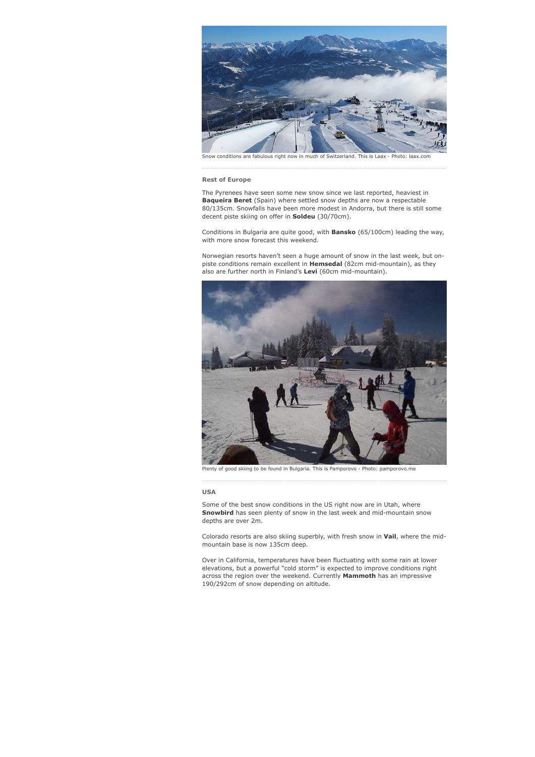

#### Rest of Europe

The Pyrenees have seen some new snow since we last reported, heaviest in Baqueira Beret (Spain) where settled snow depths are now a respectable 80/135cm. Snowfalls have been more modest in Andorra, but there is still some decent piste skiing on offer in Soldeu (30/70cm).

Conditions in Bulgaria are quite good, with Bansko (65/100cm) leading the way, with more snow forecast this weekend.

Norwegian resorts haven't seen a huge amount of snow in the last week, but onpiste conditions remain excellent in **Hemsedal** (82cm mid-mountain), as they also are further north in Finland's Levi (60cm mid-mountain).



Plenty of good skiing to be found in Bulgaria. This is Pamporovo - Photo: pamporovo.me

### USA

Some of the best snow conditions in the US right now are in Utah, where Snowbird has seen plenty of snow in the last week and mid-mountain snow depths are over 2m.

Colorado resorts are also skiing superbly, with fresh snow in Vail, where the midmountain base is now 135cm deep.

Over in California, temperatures have been fluctuating with some rain at lower elevations, but a powerful "cold storm" is expected to improve conditions right across the region over the weekend. Currently Mammoth has an impressive 190/292cm of snow depending on altitude.